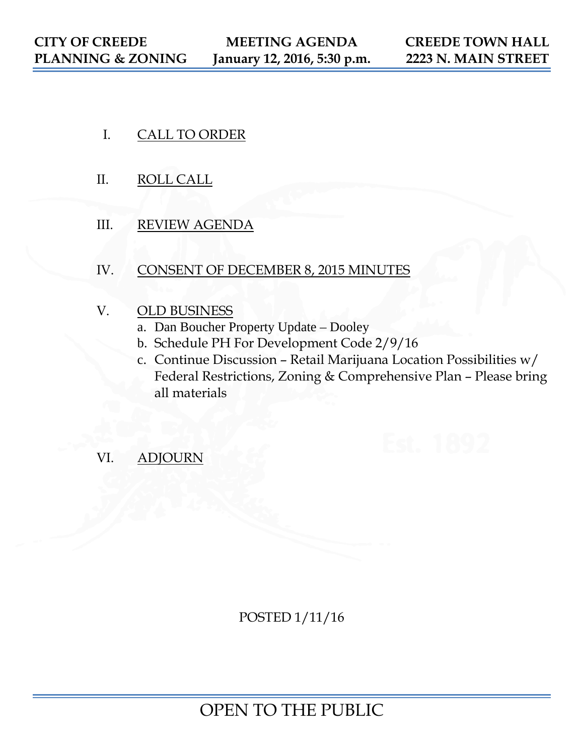- I. CALL TO ORDER
- II. ROLL CALL
- III. REVIEW AGENDA
- IV. CONSENT OF DECEMBER 8, 2015 MINUTES
- V. OLD BUSINESS
	- a. Dan Boucher Property Update Dooley
	- b. Schedule PH For Development Code 2/9/16
	- c. Continue Discussion Retail Marijuana Location Possibilities w/ Federal Restrictions, Zoning & Comprehensive Plan – Please bring all materials
- VI. ADJOURN

POSTED 1/11/16